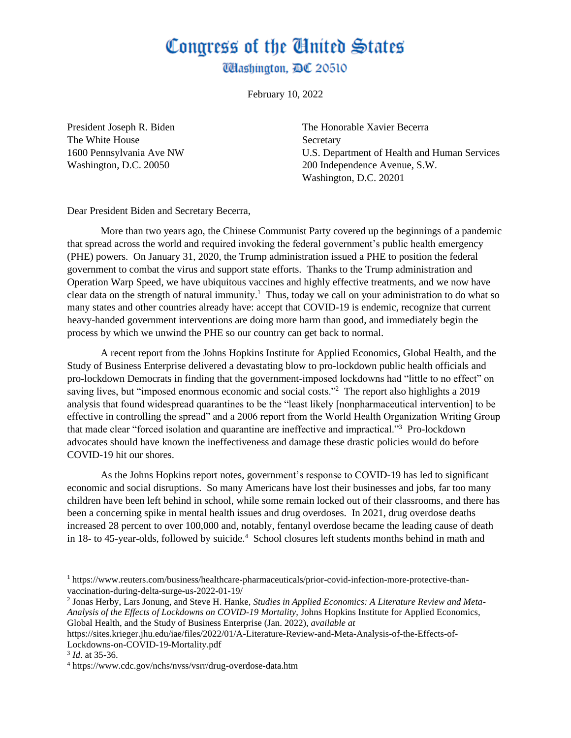## Congress of the Ginited States

**Washington, DC 20510** 

February 10, 2022

The White House Secretary

President Joseph R. Biden The Honorable Xavier Becerra 1600 Pennsylvania Ave NW U.S. Department of Health and Human Services Washington, D.C. 20050 200 Independence Avenue, S.W. Washington, D.C. 20201

Dear President Biden and Secretary Becerra,

More than two years ago, the Chinese Communist Party covered up the beginnings of a pandemic that spread across the world and required invoking the federal government's public health emergency (PHE) powers. On January 31, 2020, the Trump administration issued a PHE to position the federal government to combat the virus and support state efforts. Thanks to the Trump administration and Operation Warp Speed, we have ubiquitous vaccines and highly effective treatments, and we now have clear data on the strength of natural immunity.<sup>1</sup> Thus, today we call on your administration to do what so many states and other countries already have: accept that COVID-19 is endemic, recognize that current heavy-handed government interventions are doing more harm than good, and immediately begin the process by which we unwind the PHE so our country can get back to normal.

A recent report from the Johns Hopkins Institute for Applied Economics, Global Health, and the Study of Business Enterprise delivered a devastating blow to pro-lockdown public health officials and pro-lockdown Democrats in finding that the government-imposed lockdowns had "little to no effect" on saving lives, but "imposed enormous economic and social costs."<sup>2</sup> The report also highlights a 2019 analysis that found widespread quarantines to be the "least likely [nonpharmaceutical intervention] to be effective in controlling the spread" and a 2006 report from the World Health Organization Writing Group that made clear "forced isolation and quarantine are ineffective and impractical."<sup>3</sup> Pro-lockdown advocates should have known the ineffectiveness and damage these drastic policies would do before COVID-19 hit our shores.

As the Johns Hopkins report notes, government's response to COVID-19 has led to significant economic and social disruptions. So many Americans have lost their businesses and jobs, far too many children have been left behind in school, while some remain locked out of their classrooms, and there has been a concerning spike in mental health issues and drug overdoses. In 2021, drug overdose deaths increased 28 percent to over 100,000 and, notably, fentanyl overdose became the leading cause of death in 18- to 45-year-olds, followed by suicide.<sup>4</sup> School closures left students months behind in math and

<sup>1</sup> https://www.reuters.com/business/healthcare-pharmaceuticals/prior-covid-infection-more-protective-thanvaccination-during-delta-surge-us-2022-01-19/

<sup>2</sup> Jonas Herby, Lars Jonung, and Steve H. Hanke, *Studies in Applied Economics: A Literature Review and Meta-Analysis of the Effects of Lockdowns on COVID-19 Mortality*, Johns Hopkins Institute for Applied Economics, Global Health, and the Study of Business Enterprise (Jan. 2022), *available at* 

https://sites.krieger.jhu.edu/iae/files/2022/01/A-Literature-Review-and-Meta-Analysis-of-the-Effects-of-Lockdowns-on-COVID-19-Mortality.pdf

<sup>3</sup> *Id*. at 35-36.

<sup>4</sup> https://www.cdc.gov/nchs/nvss/vsrr/drug-overdose-data.htm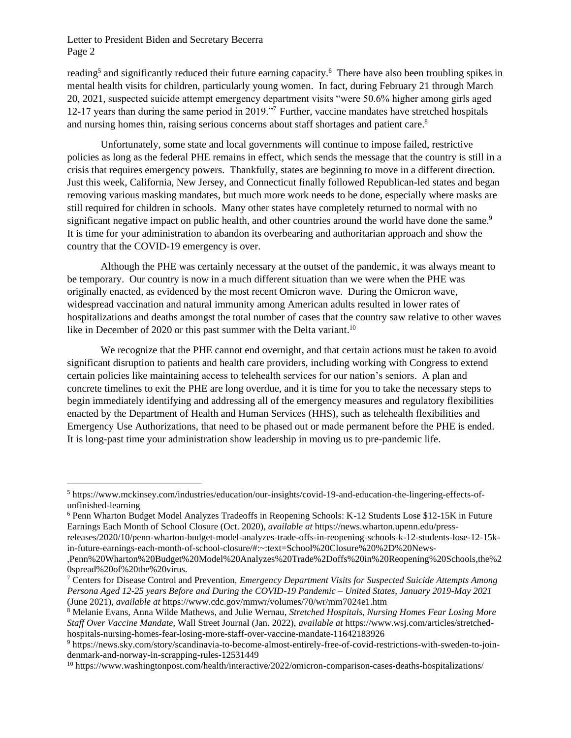reading<sup>5</sup> and significantly reduced their future earning capacity.<sup>6</sup> There have also been troubling spikes in mental health visits for children, particularly young women. In fact, during February 21 through March 20, 2021, suspected suicide attempt emergency department visits "were 50.6% higher among girls aged 12-17 years than during the same period in 2019."<sup>7</sup> Further, vaccine mandates have stretched hospitals and nursing homes thin, raising serious concerns about staff shortages and patient care. 8

Unfortunately, some state and local governments will continue to impose failed, restrictive policies as long as the federal PHE remains in effect, which sends the message that the country is still in a crisis that requires emergency powers. Thankfully, states are beginning to move in a different direction. Just this week, California, New Jersey, and Connecticut finally followed Republican-led states and began removing various masking mandates, but much more work needs to be done, especially where masks are still required for children in schools. Many other states have completely returned to normal with no significant negative impact on public health, and other countries around the world have done the same.<sup>9</sup> It is time for your administration to abandon its overbearing and authoritarian approach and show the country that the COVID-19 emergency is over.

Although the PHE was certainly necessary at the outset of the pandemic, it was always meant to be temporary. Our country is now in a much different situation than we were when the PHE was originally enacted, as evidenced by the most recent Omicron wave. During the Omicron wave, widespread vaccination and natural immunity among American adults resulted in lower rates of hospitalizations and deaths amongst the total number of cases that the country saw relative to other waves like in December of 2020 or this past summer with the Delta variant.<sup>10</sup>

We recognize that the PHE cannot end overnight, and that certain actions must be taken to avoid significant disruption to patients and health care providers, including working with Congress to extend certain policies like maintaining access to telehealth services for our nation's seniors. A plan and concrete timelines to exit the PHE are long overdue, and it is time for you to take the necessary steps to begin immediately identifying and addressing all of the emergency measures and regulatory flexibilities enacted by the Department of Health and Human Services (HHS), such as telehealth flexibilities and Emergency Use Authorizations, that need to be phased out or made permanent before the PHE is ended. It is long-past time your administration show leadership in moving us to pre-pandemic life.

<sup>5</sup> https://www.mckinsey.com/industries/education/our-insights/covid-19-and-education-the-lingering-effects-ofunfinished-learning

<sup>6</sup> Penn Wharton Budget Model Analyzes Tradeoffs in Reopening Schools: K-12 Students Lose \$12-15K in Future Earnings Each Month of School Closure (Oct. 2020), *available at* https://news.wharton.upenn.edu/press-

releases/2020/10/penn-wharton-budget-model-analyzes-trade-offs-in-reopening-schools-k-12-students-lose-12-15kin-future-earnings-each-month-of-school-closure/#:~:text=School%20Closure%20%2D%20News-

<sup>,</sup>Penn%20Wharton%20Budget%20Model%20Analyzes%20Trade%2Doffs%20in%20Reopening%20Schools,the%2 0spread%20of%20the%20virus.

<sup>7</sup> Centers for Disease Control and Prevention, *Emergency Department Visits for Suspected Suicide Attempts Among Persona Aged 12-25 years Before and During the COVID-19 Pandemic – United States, January 2019-May 2021* (June 2021), *available at* https://www.cdc.gov/mmwr/volumes/70/wr/mm7024e1.htm

<sup>8</sup> Melanie Evans, Anna Wilde Mathews, and Julie Wernau, *Stretched Hospitals, Nursing Homes Fear Losing More Staff Over Vaccine Mandate*, Wall Street Journal (Jan. 2022), *available at* https://www.wsj.com/articles/stretchedhospitals-nursing-homes-fear-losing-more-staff-over-vaccine-mandate-11642183926

<sup>9</sup> https://news.sky.com/story/scandinavia-to-become-almost-entirely-free-of-covid-restrictions-with-sweden-to-joindenmark-and-norway-in-scrapping-rules-12531449

<sup>10</sup> https://www.washingtonpost.com/health/interactive/2022/omicron-comparison-cases-deaths-hospitalizations/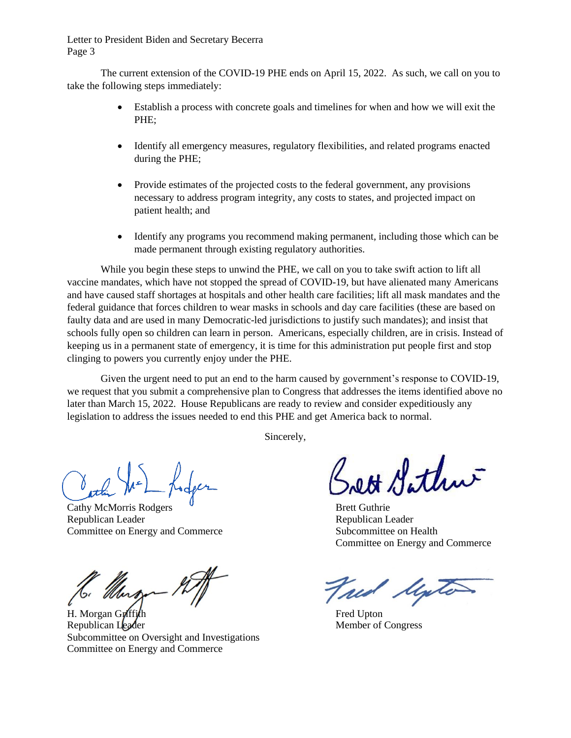The current extension of the COVID-19 PHE ends on April 15, 2022. As such, we call on you to take the following steps immediately:

- Establish a process with concrete goals and timelines for when and how we will exit the PHE;
- Identify all emergency measures, regulatory flexibilities, and related programs enacted during the PHE;
- Provide estimates of the projected costs to the federal government, any provisions necessary to address program integrity, any costs to states, and projected impact on patient health; and
- Identify any programs you recommend making permanent, including those which can be made permanent through existing regulatory authorities.

While you begin these steps to unwind the PHE, we call on you to take swift action to lift all vaccine mandates, which have not stopped the spread of COVID-19, but have alienated many Americans and have caused staff shortages at hospitals and other health care facilities; lift all mask mandates and the federal guidance that forces children to wear masks in schools and day care facilities (these are based on faulty data and are used in many Democratic-led jurisdictions to justify such mandates); and insist that schools fully open so children can learn in person. Americans, especially children, are in crisis. Instead of keeping us in a permanent state of emergency, it is time for this administration put people first and stop clinging to powers you currently enjoy under the PHE.

Given the urgent need to put an end to the harm caused by government's response to COVID-19, we request that you submit a comprehensive plan to Congress that addresses the items identified above no later than March 15, 2022. House Republicans are ready to review and consider expeditiously any legislation to address the issues needed to end this PHE and get America back to normal.

Sincerely,

Cathy McMorris Rodgers **Brett** Guthrie Republican Leader **Republican Leader Republican Leader** Committee on Energy and Commerce Subcommittee on Health

H. Morgan Gulffuth Fred Upton Republican Leader Member of Congress Subcommittee on Oversight and Investigations Committee on Energy and Commerce

OH Arthur

Committee on Energy and Commerce

Male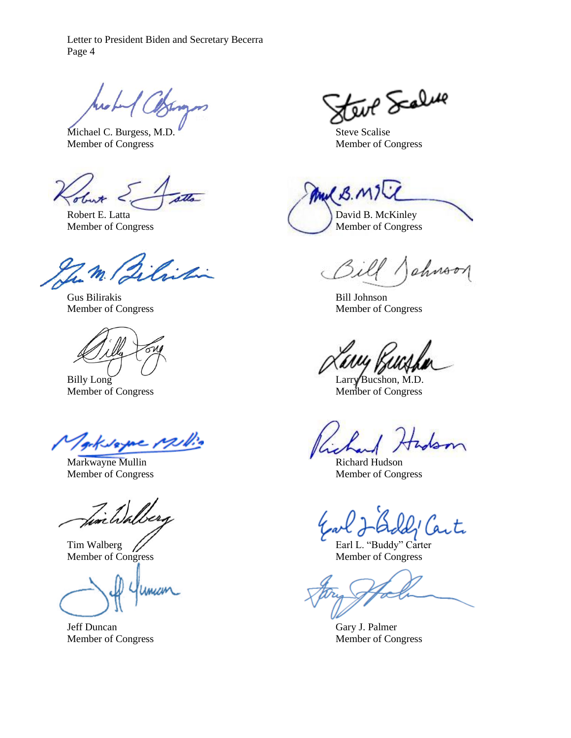Michael C. Burgess, M.D. Steve Scalise Member of Congress Member of Congress

Gus Bilirakis Bill Johnson



Billy Long Larry Bucshon, M.D. Member of Congress Member of Congress

geksame Milio

Markwayne Mullin **Richard Hudson** 

Fine Wale

Member of Congress Member of Congress

mam

Jeff Duncan Gary J. Palmer

teur Scalure

And B.N Robert E. Latta David B. McKinley Member of Congress Member of Congress

ahroon

Member of Congress Member of Congress

Member of Congress Member of Congress

t.

Tim Walberg **Earl L. "Buddy" Carter** 

Member of Congress Member of Congress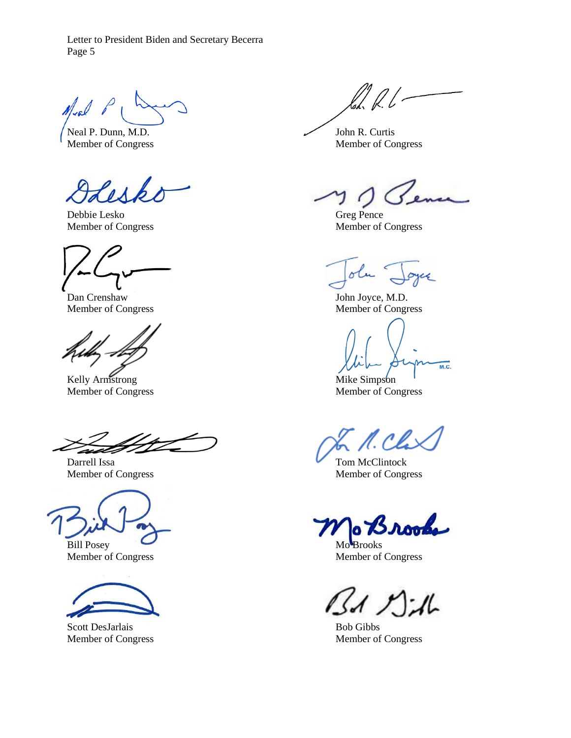$M_{rel}$   $\rho$ 

Neal P. Dunn, M.D. John R. Curtis

Debbie Lesko Greg Pence Member of Congress Member of Congress

Dan Crenshaw John Joyce, M.D. Member of Congress Member of Congress

Kelly Armstrong Mike Simpson Member of Congress Member of Congress

Darrell Issa Tom McClintock

Bill Posey Mo<sup>B</sup>rooks Member of Congress Member of Congress



Scott DesJarlais Bob Gibbs

loh. P. l. –

Member of Congress Member of Congress

otu K

 $\overline{M.C.}$ 

N. Cli

Member of Congress Member of Congress

 $15177-16$ 

Member of Congress Member of Congress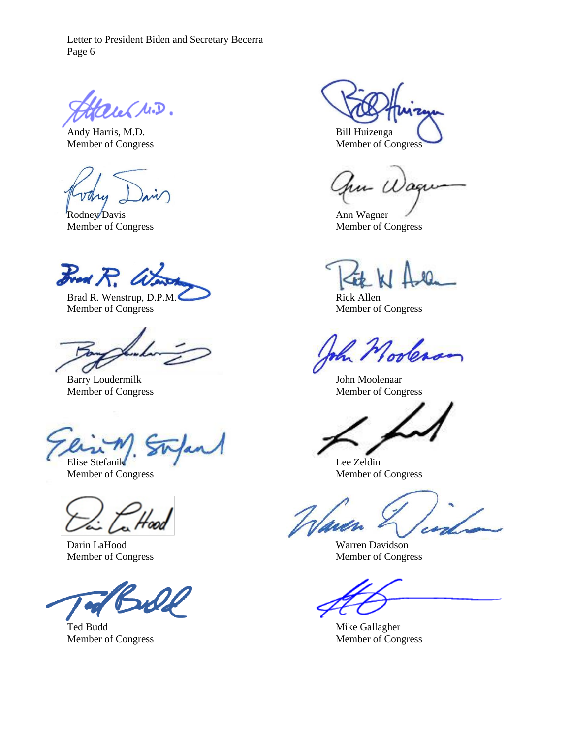augues.

Andy Harris, M.D. Bill Huizenga

Mry

Rodney Davis Ann Wagner

 $B_{rad}R$ 

Brad R. Wenstrup, D.P.M. Rick Allen Member of Congress Member of Congress

Barry Loudermilk John Moolenaar Member of Congress Member of Congress

Elise Stefanik Lee Zeldin

4æd

Darin LaHood Warren Davidson

Ted Budd Mike Gallagher

Member of Congress Member of Congress

hu Wager

Member of Congress Member of Congress

Nooleran

Member of Congress Member of Congress

Member of Congress Member of Congress

Member of Congress Member of Congress Member of Congress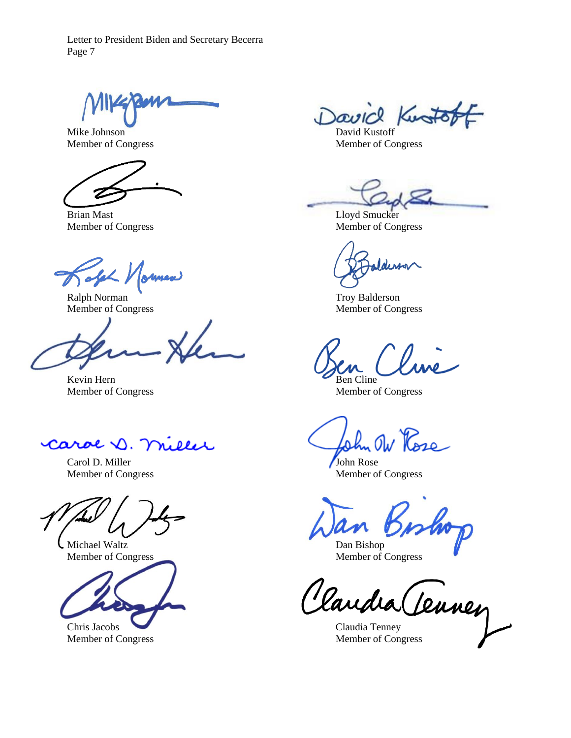Mike Johnson David Kustoff

Brian Mast Lloyd Smucker

 $\alpha$ lel Journal

Ralph Norman Troy Balderson<br>
Member of Congress Member of Con

 $\overline{\text{Kevin}}$  Hern Ben Cline Member of Congress Member of Congress

caroe D. miller

Carol D. Miller John Rose<br>Member of Congress Member of Services

Michael Waltz Dan Bishop Member of Congress Member of Congress



Member of Congress Member of Congress

David Kusto

Member of Congress Member of Congress

Member of Congress Member of Congress

Member of Congress

 $\overline{aa}$ 

John OW Rose

Member of Congress

Claudia Claudia (Leuney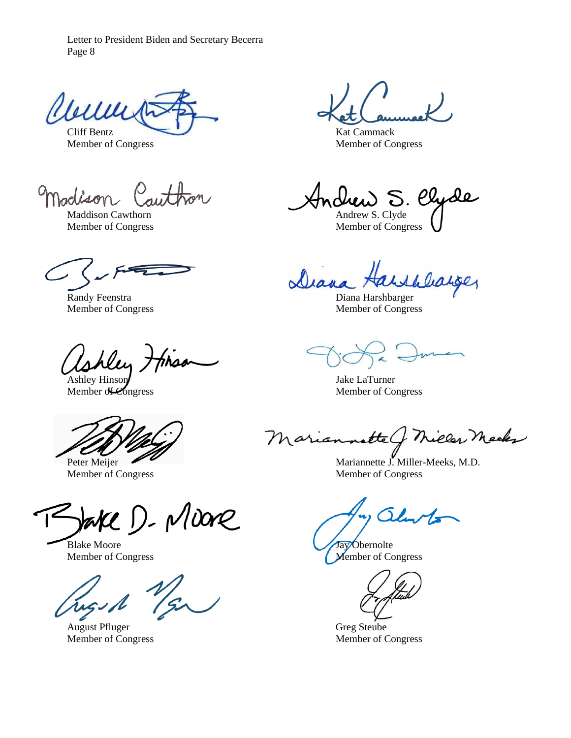Wille Cliff Bentz Kat Cammack

Member of Congress Member of Congress

Madiso

shley; Ashley Hinson Jake LaTurner

Member of Congress Member of Congress

bake D. Moore

August Pfluger Greg Steube Member of Congress Member of Congress

 $S.$   $eV$ de Maddison Cawthorn Andrew S. Clyde

Member of Congress Member of Congress

Dean

Randy Feenstra **Diana Harshbarger** Diana Harshbarger Member of Congress Member of Congress

Member of Congress Member of Congress

natte nieler Meeks Maria

Peter Meijer Mariannette J. Miller-Meeks, M.D.

Blake Moore **Jay Obernolte** Member of Congress Member of Congress